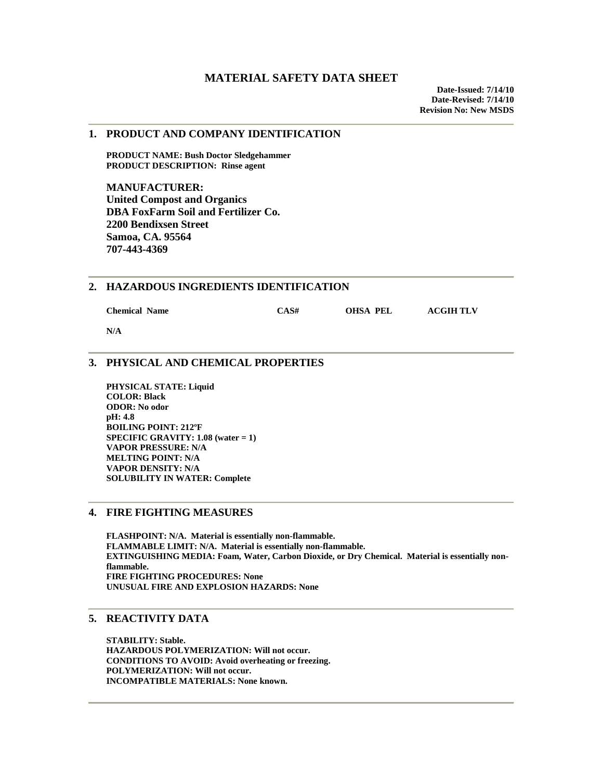#### **1. PRODUCT AND COMPANY IDENTIFICATION**

 **PRODUCT NAME: Bush Doctor Sledgehammer PRODUCT DESCRIPTION: Rinse agent** 

**MANUFACTURER: United Compost and Organics DBA FoxFarm Soil and Fertilizer Co. 2200 Bendixsen Street Samoa, CA. 95564 707-443-4369** 

### **2. HAZARDOUS INGREDIENTS IDENTIFICATION**

 **Chemical Name CAS# OHSA PEL ACGIH TLV** 

 **N/A** 

## **3. PHYSICAL AND CHEMICAL PROPERTIES**

**PHYSICAL STATE: Liquid COLOR: Black ODOR: No odor pH: 4.8 BOILING POINT: 212ºF SPECIFIC GRAVITY: 1.08 (water = 1) VAPOR PRESSURE: N/A MELTING POINT: N/A VAPOR DENSITY: N/A SOLUBILITY IN WATER: Complete** 

### **4. FIRE FIGHTING MEASURES**

**FLASHPOINT: N/A. Material is essentially non-flammable. FLAMMABLE LIMIT: N/A. Material is essentially non-flammable. EXTINGUISHING MEDIA: Foam, Water, Carbon Dioxide, or Dry Chemical. Material is essentially nonflammable. FIRE FIGHTING PROCEDURES: None UNUSUAL FIRE AND EXPLOSION HAZARDS: None** 

# **5. REACTIVITY DATA**

 **STABILITY: Stable. HAZARDOUS POLYMERIZATION: Will not occur. CONDITIONS TO AVOID: Avoid overheating or freezing. POLYMERIZATION: Will not occur. INCOMPATIBLE MATERIALS: None known.**